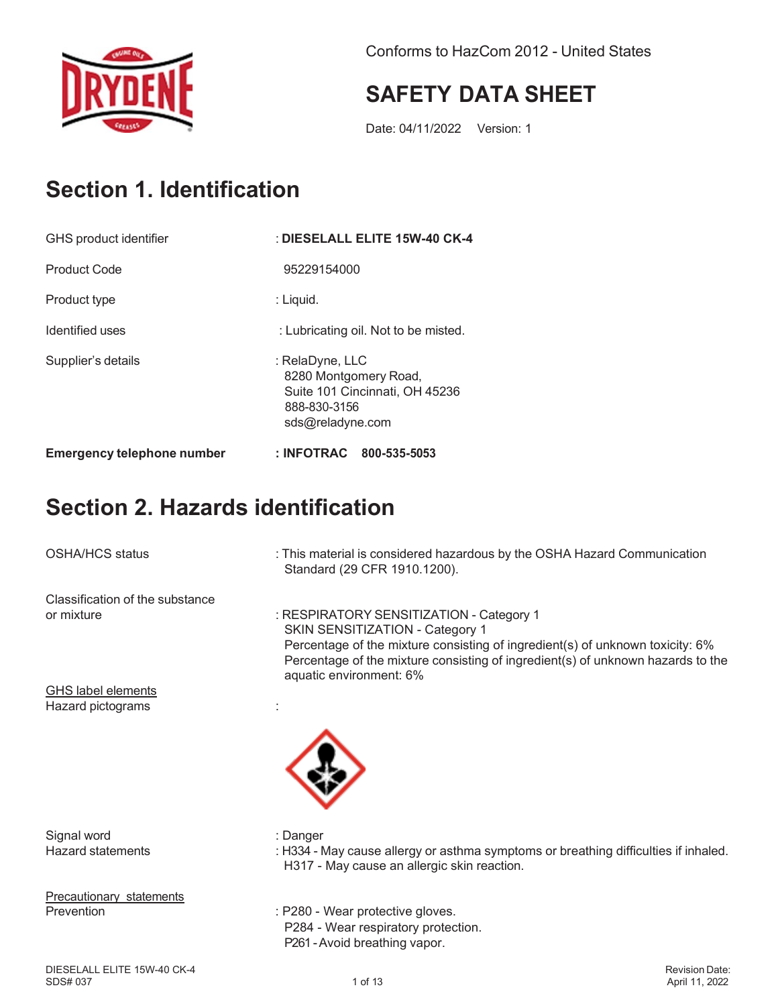

Conforms to HazCom 2012 - United States

### **SAFETY DATA SHEET**

Date: 04/11/2022 Version: 1

### **Section 1. Identification**

| GHS product identifier            | : DIESELALL ELITE 15W-40 CK-4                                                                                  |  |
|-----------------------------------|----------------------------------------------------------------------------------------------------------------|--|
| <b>Product Code</b>               | 95229154000                                                                                                    |  |
| Product type                      | : Liquid.                                                                                                      |  |
| Identified uses                   | : Lubricating oil. Not to be misted.                                                                           |  |
| Supplier's details                | : RelaDyne, LLC<br>8280 Montgomery Road,<br>Suite 101 Cincinnati, OH 45236<br>888-830-3156<br>sds@reladyne.com |  |
| <b>Emergency telephone number</b> | : INFOTRAC 800-535-5053                                                                                        |  |

### **Section 2. Hazards identification**

OSHA/HCS status : This material is considered hazardous by the OSHA Hazard Communication

Classification of the substance

: RESPIRATORY SENSITIZATION - Category 1 SKIN SENSITIZATION - Category 1 Percentage of the mixture consisting of ingredient(s) of unknown toxicity: 6%

Percentage of the mixture consisting of ingredient(s) of unknown hazards to the

GHS label elements Hazard pictograms is a set of the state of the state of the state of the state of the state of the state of the state of the state of the state of the state of the state of the state of the state of the state of the state

Signal word in the state of the Signal word in the state of the state of the state of the state of the Signal S

Precautionary statements



- 
- Hazard statements : H334 May cause allergy or asthma symptoms or breathing difficulties if inhaled. H317 - May cause an allergic skin reaction.

Prevention : P280 - Wear protective gloves. P284 - Wear respiratory protection.

Standard (29 CFR 1910.1200).

aquatic environment: 6%

P261 -Avoid breathing vapor.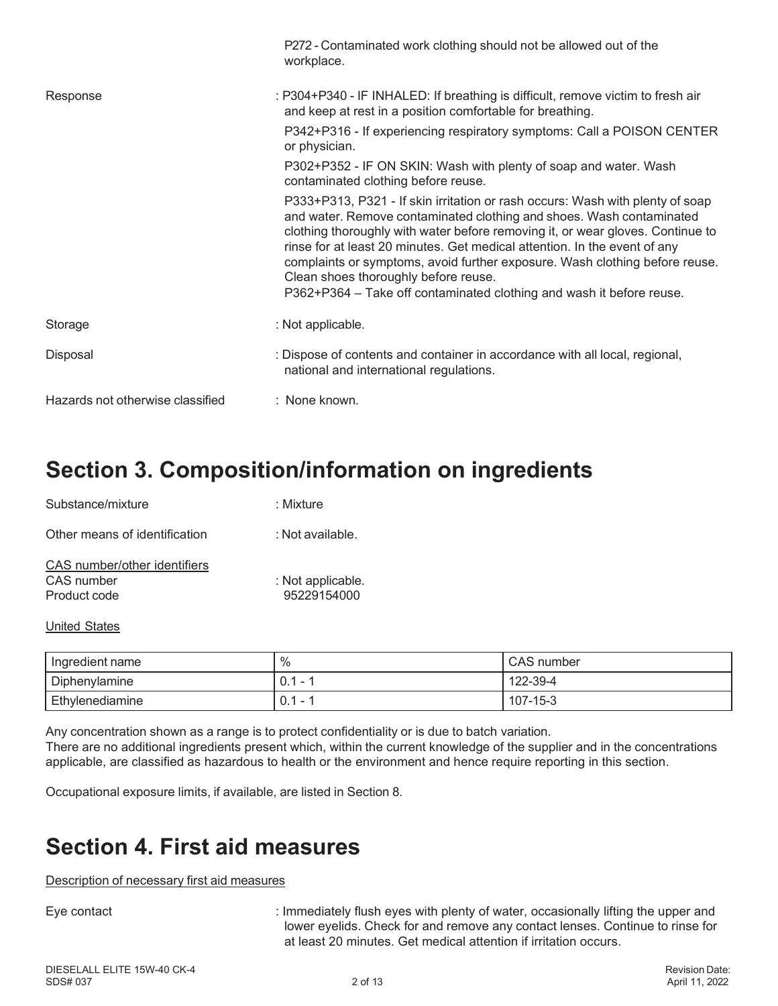|                                  | P272 - Contaminated work clothing should not be allowed out of the<br>workplace.                                                                                                                                                                                                                                                                                                                                                                                                                                    |
|----------------------------------|---------------------------------------------------------------------------------------------------------------------------------------------------------------------------------------------------------------------------------------------------------------------------------------------------------------------------------------------------------------------------------------------------------------------------------------------------------------------------------------------------------------------|
| Response                         | : P304+P340 - IF INHALED: If breathing is difficult, remove victim to fresh air<br>and keep at rest in a position comfortable for breathing.                                                                                                                                                                                                                                                                                                                                                                        |
|                                  | P342+P316 - If experiencing respiratory symptoms: Call a POISON CENTER<br>or physician.                                                                                                                                                                                                                                                                                                                                                                                                                             |
|                                  | P302+P352 - IF ON SKIN: Wash with plenty of soap and water. Wash<br>contaminated clothing before reuse.                                                                                                                                                                                                                                                                                                                                                                                                             |
|                                  | P333+P313, P321 - If skin irritation or rash occurs: Wash with plenty of soap<br>and water. Remove contaminated clothing and shoes. Wash contaminated<br>clothing thoroughly with water before removing it, or wear gloves. Continue to<br>rinse for at least 20 minutes. Get medical attention. In the event of any<br>complaints or symptoms, avoid further exposure. Wash clothing before reuse.<br>Clean shoes thoroughly before reuse.<br>P362+P364 - Take off contaminated clothing and wash it before reuse. |
| Storage                          | : Not applicable.                                                                                                                                                                                                                                                                                                                                                                                                                                                                                                   |
| Disposal                         | : Dispose of contents and container in accordance with all local, regional,<br>national and international regulations.                                                                                                                                                                                                                                                                                                                                                                                              |
| Hazards not otherwise classified | : None known.                                                                                                                                                                                                                                                                                                                                                                                                                                                                                                       |

### **Section 3. Composition/information on ingredients**

| Substance/mixture                                          | : Mixture                        |
|------------------------------------------------------------|----------------------------------|
| Other means of identification                              | ∴Not available.                  |
| CAS number/other identifiers<br>CAS number<br>Product code | : Not applicable.<br>95229154000 |

#### United States

| Ingredient name | $\%$                          | CAS number |
|-----------------|-------------------------------|------------|
| Diphenylamine   | 0.1<br>-                      | 122-39-4   |
| Ethylenediamine | $\cap$ 1<br>-<br>$\cdot$ v. . | 107-15-3   |

Any concentration shown as a range is to protect confidentiality or is due to batch variation. There are no additional ingredients present which, within the current knowledge of the supplier and in the concentrations applicable, are classified as hazardous to health or the environment and hence require reporting in this section.

Occupational exposure limits, if available, are listed in Section 8.

### **Section 4. First aid measures**

Description of necessary first aid measures

Eye contact **induced in the Contract intervellent in the UP** is lmmediately flush eyes with plenty of water, occasionally lifting the upper and lower eyelids. Check for and remove any contact lenses. Continue to rinse for at least 20 minutes. Get medical attention if irritation occurs.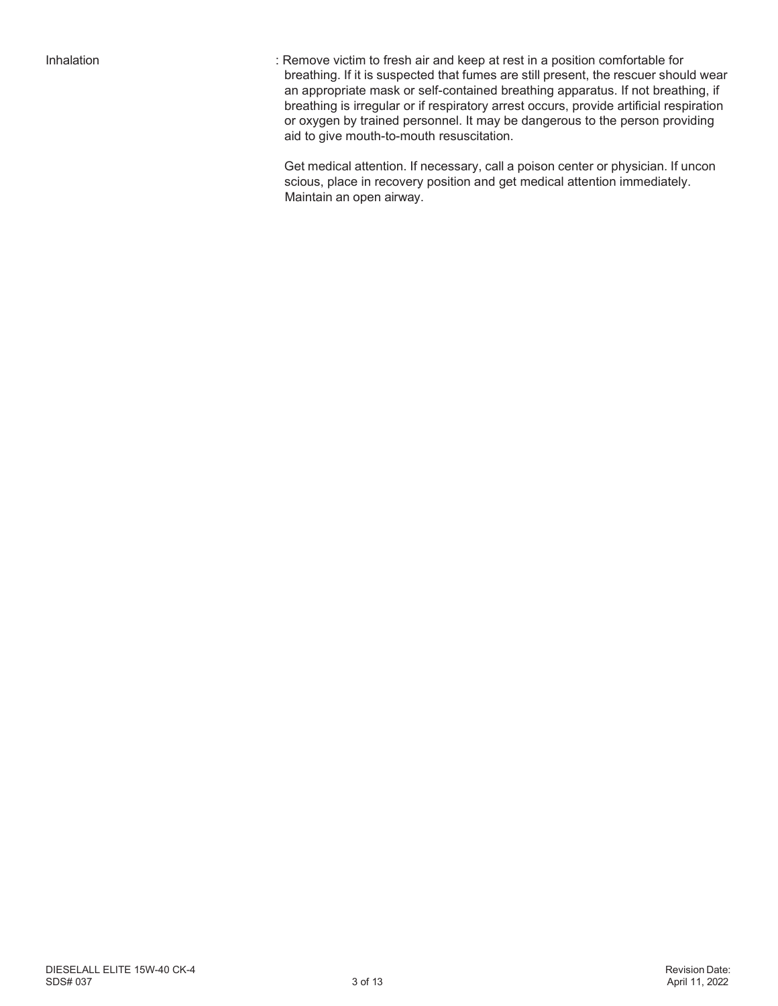Inhalation : Remove victim to fresh air and keep at rest in a position comfortable for breathing. If it is suspected that fumes are still present, the rescuer should wear an appropriate mask or self-contained breathing apparatus. If not breathing, if breathing is irregular or if respiratory arrest occurs, provide artificial respiration or oxygen by trained personnel. It may be dangerous to the person providing aid to give mouth-to-mouth resuscitation.

> Get medical attention. If necessary, call a poison center or physician. If uncon scious, place in recovery position and get medical attention immediately. Maintain an open airway.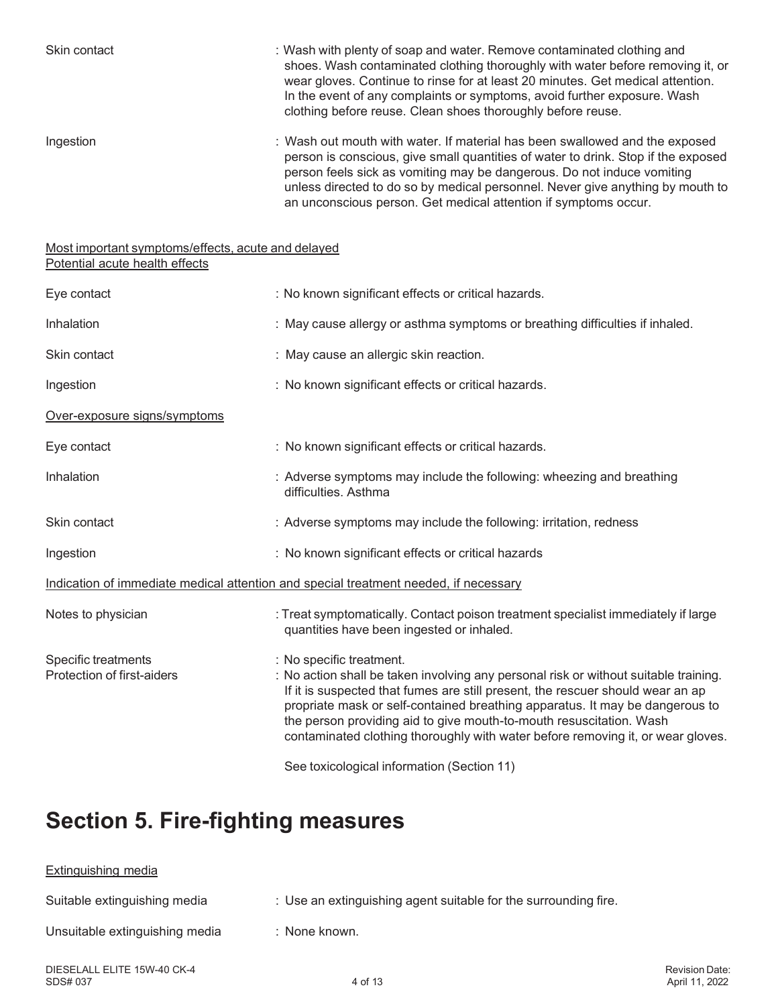| Skin contact                                                                         | : Wash with plenty of soap and water. Remove contaminated clothing and<br>shoes. Wash contaminated clothing thoroughly with water before removing it, or<br>wear gloves. Continue to rinse for at least 20 minutes. Get medical attention.<br>In the event of any complaints or symptoms, avoid further exposure. Wash<br>clothing before reuse. Clean shoes thoroughly before reuse.                                                        |  |  |
|--------------------------------------------------------------------------------------|----------------------------------------------------------------------------------------------------------------------------------------------------------------------------------------------------------------------------------------------------------------------------------------------------------------------------------------------------------------------------------------------------------------------------------------------|--|--|
| Ingestion                                                                            | : Wash out mouth with water. If material has been swallowed and the exposed<br>person is conscious, give small quantities of water to drink. Stop if the exposed<br>person feels sick as vomiting may be dangerous. Do not induce vomiting<br>unless directed to do so by medical personnel. Never give anything by mouth to<br>an unconscious person. Get medical attention if symptoms occur.                                              |  |  |
| Most important symptoms/effects, acute and delayed<br>Potential acute health effects |                                                                                                                                                                                                                                                                                                                                                                                                                                              |  |  |
| Eye contact                                                                          | : No known significant effects or critical hazards.                                                                                                                                                                                                                                                                                                                                                                                          |  |  |
| Inhalation                                                                           | : May cause allergy or asthma symptoms or breathing difficulties if inhaled.                                                                                                                                                                                                                                                                                                                                                                 |  |  |
| Skin contact                                                                         | : May cause an allergic skin reaction.                                                                                                                                                                                                                                                                                                                                                                                                       |  |  |
| Ingestion                                                                            | : No known significant effects or critical hazards.                                                                                                                                                                                                                                                                                                                                                                                          |  |  |
| Over-exposure signs/symptoms                                                         |                                                                                                                                                                                                                                                                                                                                                                                                                                              |  |  |
| Eye contact                                                                          | : No known significant effects or critical hazards.                                                                                                                                                                                                                                                                                                                                                                                          |  |  |
| Inhalation                                                                           | : Adverse symptoms may include the following: wheezing and breathing<br>difficulties. Asthma                                                                                                                                                                                                                                                                                                                                                 |  |  |
| Skin contact                                                                         | : Adverse symptoms may include the following: irritation, redness                                                                                                                                                                                                                                                                                                                                                                            |  |  |
| Ingestion                                                                            | : No known significant effects or critical hazards                                                                                                                                                                                                                                                                                                                                                                                           |  |  |
| Indication of immediate medical attention and special treatment needed, if necessary |                                                                                                                                                                                                                                                                                                                                                                                                                                              |  |  |
| Notes to physician                                                                   | : Treat symptomatically. Contact poison treatment specialist immediately if large<br>quantities have been ingested or inhaled.                                                                                                                                                                                                                                                                                                               |  |  |
| Specific treatments<br>Protection of first-aiders                                    | : No specific treatment.<br>: No action shall be taken involving any personal risk or without suitable training.<br>If it is suspected that fumes are still present, the rescuer should wear an ap<br>propriate mask or self-contained breathing apparatus. It may be dangerous to<br>the person providing aid to give mouth-to-mouth resuscitation. Wash<br>contaminated clothing thoroughly with water before removing it, or wear gloves. |  |  |

See toxicological information (Section 11)

### **Section 5. Fire-fighting measures**

# Extinguishing media Suitable extinguishing media : Use an extinguishing agent suitable for the surrounding fire. Unsuitable extinguishing media : None known.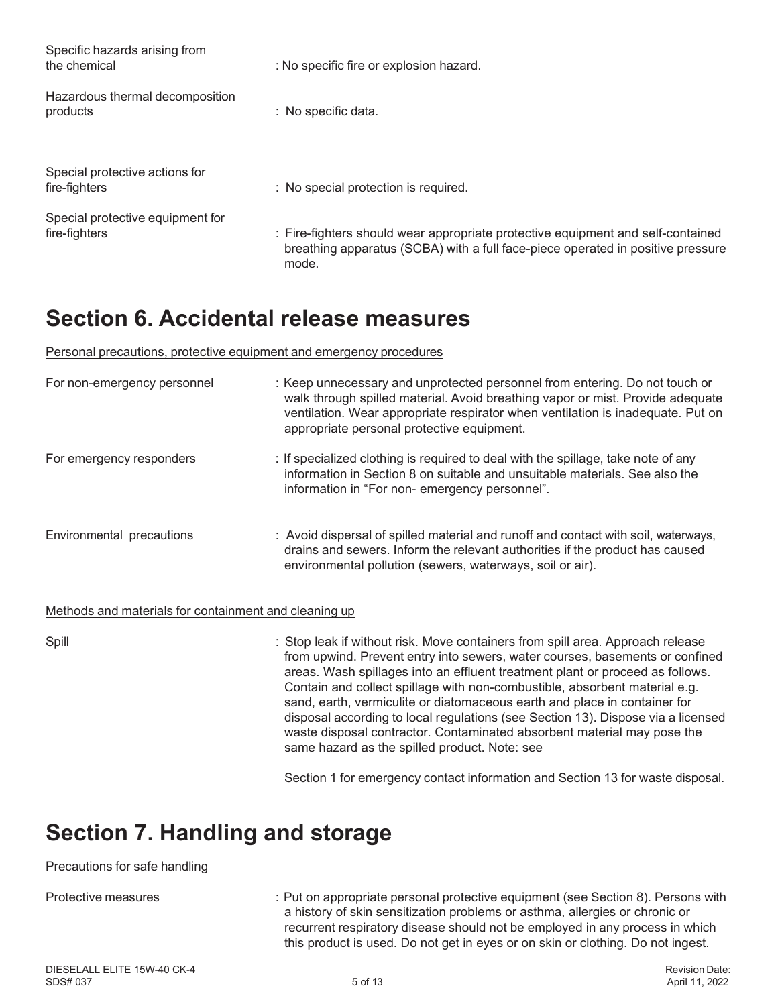| Specific hazards arising from<br>the chemical     | : No specific fire or explosion hazard.                                                                                                                                     |
|---------------------------------------------------|-----------------------------------------------------------------------------------------------------------------------------------------------------------------------------|
| Hazardous thermal decomposition<br>products       | : No specific data.                                                                                                                                                         |
| Special protective actions for<br>fire-fighters   | : No special protection is required.                                                                                                                                        |
| Special protective equipment for<br>fire-fighters | : Fire-fighters should wear appropriate protective equipment and self-contained<br>breathing apparatus (SCBA) with a full face-piece operated in positive pressure<br>mode. |

### **Section 6. Accidental release measures**

Personal precautions, protective equipment and emergency procedures

| For non-emergency personnel                           | : Keep unnecessary and unprotected personnel from entering. Do not touch or<br>walk through spilled material. Avoid breathing vapor or mist. Provide adequate<br>ventilation. Wear appropriate respirator when ventilation is inadequate. Put on<br>appropriate personal protective equipment. |
|-------------------------------------------------------|------------------------------------------------------------------------------------------------------------------------------------------------------------------------------------------------------------------------------------------------------------------------------------------------|
| For emergency responders                              | : If specialized clothing is required to deal with the spillage, take note of any<br>information in Section 8 on suitable and unsuitable materials. See also the<br>information in "For non- emergency personnel".                                                                             |
| Environmental precautions                             | : Avoid dispersal of spilled material and runoff and contact with soil, waterways,<br>drains and sewers. Inform the relevant authorities if the product has caused<br>environmental pollution (sewers, waterways, soil or air).                                                                |
| Methods and materials for containment and cleaning up |                                                                                                                                                                                                                                                                                                |
| Snill                                                 | $\cdot$ Stop leak if without risk Move containers from spill area. Approach release                                                                                                                                                                                                            |

Spill : Stop leak if without risk. Move containers from spill area. Approach release from upwind. Prevent entry into sewers, water courses, basements or confined areas. Wash spillages into an effluent treatment plant or proceed as follows. Contain and collect spillage with non-combustible, absorbent material e.g. sand, earth, vermiculite or diatomaceous earth and place in container for disposal according to local regulations (see Section 13). Dispose via a licensed waste disposal contractor. Contaminated absorbent material may pose the same hazard as the spilled product. Note: see

Section 1 for emergency contact information and Section 13 for waste disposal.

### **Section 7. Handling and storage**

#### Precautions for safe handling

Protective measures : Put on appropriate personal protective equipment (see Section 8). Persons with a history of skin sensitization problems or asthma, allergies or chronic or recurrent respiratory disease should not be employed in any process in which this product is used. Do not get in eyes or on skin or clothing. Do not ingest.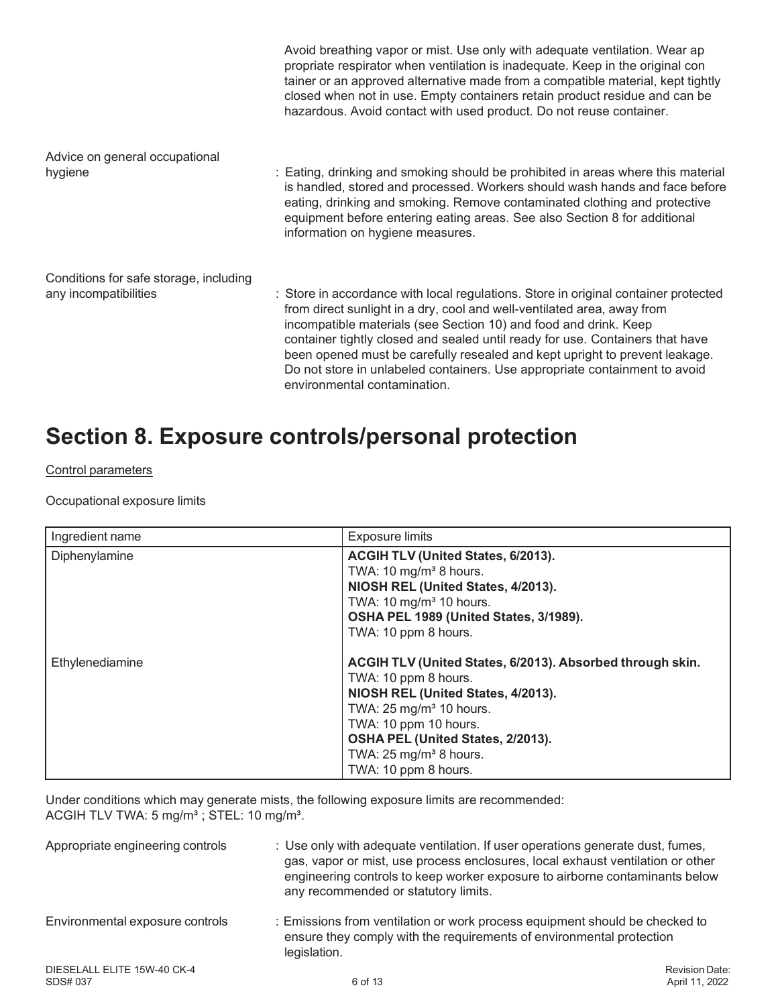|                                        | Avoid breathing vapor or mist. Use only with adequate ventilation. Wear ap<br>propriate respirator when ventilation is inadequate. Keep in the original con<br>tainer or an approved alternative made from a compatible material, kept tightly<br>closed when not in use. Empty containers retain product residue and can be<br>hazardous. Avoid contact with used product. Do not reuse container.                                                                                                              |
|----------------------------------------|------------------------------------------------------------------------------------------------------------------------------------------------------------------------------------------------------------------------------------------------------------------------------------------------------------------------------------------------------------------------------------------------------------------------------------------------------------------------------------------------------------------|
| Advice on general occupational         |                                                                                                                                                                                                                                                                                                                                                                                                                                                                                                                  |
| hygiene                                | : Eating, drinking and smoking should be prohibited in areas where this material<br>is handled, stored and processed. Workers should wash hands and face before<br>eating, drinking and smoking. Remove contaminated clothing and protective<br>equipment before entering eating areas. See also Section 8 for additional<br>information on hygiene measures.                                                                                                                                                    |
| Conditions for safe storage, including |                                                                                                                                                                                                                                                                                                                                                                                                                                                                                                                  |
| any incompatibilities                  | : Store in accordance with local regulations. Store in original container protected<br>from direct sunlight in a dry, cool and well-ventilated area, away from<br>incompatible materials (see Section 10) and food and drink. Keep<br>container tightly closed and sealed until ready for use. Containers that have<br>been opened must be carefully resealed and kept upright to prevent leakage.<br>Do not store in unlabeled containers. Use appropriate containment to avoid<br>environmental contamination. |

### **Section 8. Exposure controls/personal protection**

### Control parameters

Occupational exposure limits

| Ingredient name | <b>Exposure limits</b>                                                                                                                                                                                                                                                                   |
|-----------------|------------------------------------------------------------------------------------------------------------------------------------------------------------------------------------------------------------------------------------------------------------------------------------------|
| Diphenylamine   | ACGIH TLV (United States, 6/2013).<br>TWA: $10 \text{ mg/m}^3$ 8 hours.<br>NIOSH REL (United States, 4/2013).<br>TWA: 10 mg/m <sup>3</sup> 10 hours.<br>OSHA PEL 1989 (United States, 3/1989).<br>TWA: 10 ppm 8 hours.                                                                   |
| Ethylenediamine | ACGIH TLV (United States, 6/2013). Absorbed through skin.<br>TWA: 10 ppm 8 hours.<br>NIOSH REL (United States, 4/2013).<br>TWA: $25 \text{ mg/m}^3$ 10 hours.<br>TWA: 10 ppm 10 hours.<br>OSHA PEL (United States, 2/2013).<br>TWA: $25 \text{ mg/m}^3$ 8 hours.<br>TWA: 10 ppm 8 hours. |

Under conditions which may generate mists, the following exposure limits are recommended: ACGIH TLV TWA: 5 mg/m $^3$  ; STEL: 10 mg/m $^3$ .

| Appropriate engineering controls        | : Use only with adequate ventilation. If user operations generate dust, fumes,<br>gas, vapor or mist, use process enclosures, local exhaust ventilation or other<br>engineering controls to keep worker exposure to airborne contaminants below<br>any recommended or statutory limits. |                                  |
|-----------------------------------------|-----------------------------------------------------------------------------------------------------------------------------------------------------------------------------------------------------------------------------------------------------------------------------------------|----------------------------------|
| Environmental exposure controls         | : Emissions from ventilation or work process equipment should be checked to<br>ensure they comply with the requirements of environmental protection<br>legislation.                                                                                                                     |                                  |
| DIESELALL ELITE 15W-40 CK-4<br>SDS# 037 | 6 of 13                                                                                                                                                                                                                                                                                 | Revision Date:<br>April 11, 2022 |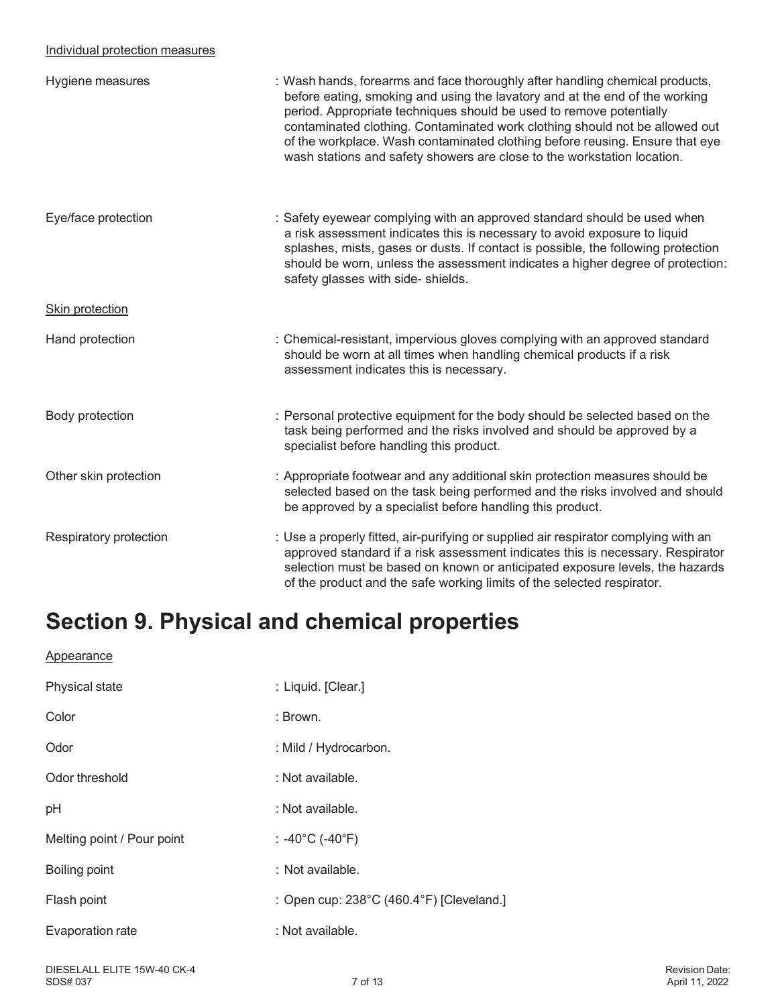#### Individual protection measures

| Hygiene measures       | : Wash hands, forearms and face thoroughly after handling chemical products,<br>before eating, smoking and using the lavatory and at the end of the working<br>period. Appropriate techniques should be used to remove potentially<br>contaminated clothing. Contaminated work clothing should not be allowed out<br>of the workplace. Wash contaminated clothing before reusing. Ensure that eye<br>wash stations and safety showers are close to the workstation location. |
|------------------------|------------------------------------------------------------------------------------------------------------------------------------------------------------------------------------------------------------------------------------------------------------------------------------------------------------------------------------------------------------------------------------------------------------------------------------------------------------------------------|
| Eye/face protection    | : Safety eyewear complying with an approved standard should be used when<br>a risk assessment indicates this is necessary to avoid exposure to liquid<br>splashes, mists, gases or dusts. If contact is possible, the following protection<br>should be worn, unless the assessment indicates a higher degree of protection:<br>safety glasses with side- shields.                                                                                                           |
| Skin protection        |                                                                                                                                                                                                                                                                                                                                                                                                                                                                              |
| Hand protection        | : Chemical-resistant, impervious gloves complying with an approved standard<br>should be worn at all times when handling chemical products if a risk<br>assessment indicates this is necessary.                                                                                                                                                                                                                                                                              |
| Body protection        | : Personal protective equipment for the body should be selected based on the<br>task being performed and the risks involved and should be approved by a<br>specialist before handling this product.                                                                                                                                                                                                                                                                          |
| Other skin protection  | : Appropriate footwear and any additional skin protection measures should be<br>selected based on the task being performed and the risks involved and should<br>be approved by a specialist before handling this product.                                                                                                                                                                                                                                                    |
| Respiratory protection | : Use a properly fitted, air-purifying or supplied air respirator complying with an<br>approved standard if a risk assessment indicates this is necessary. Respirator<br>selection must be based on known or anticipated exposure levels, the hazards<br>of the product and the safe working limits of the selected respirator.                                                                                                                                              |

### **Section 9. Physical and chemical properties**

| <b>Appearance</b>          |                                          |
|----------------------------|------------------------------------------|
| Physical state             | : Liquid. [Clear.]                       |
| Color                      | : Brown.                                 |
| Odor                       | : Mild / Hydrocarbon.                    |
| Odor threshold             | : Not available.                         |
| pH                         | : Not available.                         |
| Melting point / Pour point | : -40°C (-40°F)                          |
| Boiling point              | : Not available.                         |
| Flash point                | : Open cup: 238°C (460.4°F) [Cleveland.] |
| Evaporation rate           | : Not available.                         |
|                            |                                          |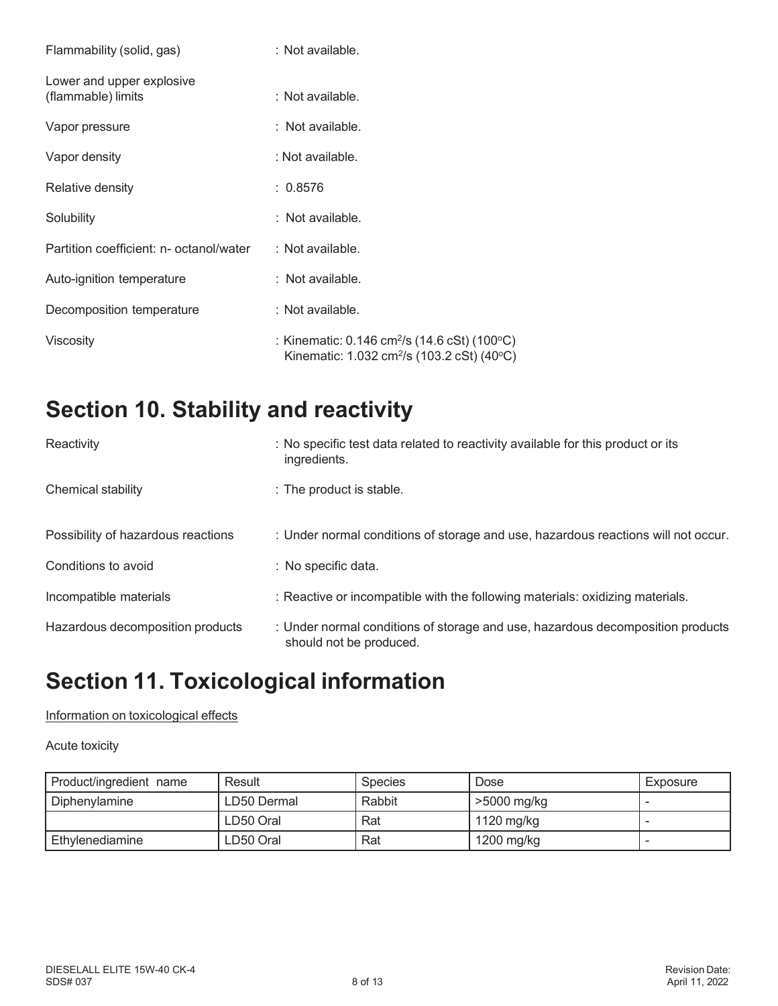| Flammability (solid, gas)                       | $:$ Not available.                                                                                                                 |
|-------------------------------------------------|------------------------------------------------------------------------------------------------------------------------------------|
| Lower and upper explosive<br>(flammable) limits | $:$ Not available.                                                                                                                 |
| Vapor pressure                                  | $:$ Not available.                                                                                                                 |
| Vapor density                                   | : Not available.                                                                                                                   |
| Relative density                                | : 0.8576                                                                                                                           |
| Solubility                                      | $:$ Not available.                                                                                                                 |
| Partition coefficient: n- octanol/water         | $\therefore$ Not available.                                                                                                        |
| Auto-ignition temperature                       | $:$ Not available.                                                                                                                 |
| Decomposition temperature                       | $:$ Not available.                                                                                                                 |
| Viscosity                                       | : Kinematic: $0.146 \text{ cm}^2/\text{s}$ (14.6 cSt) (100 $^{\circ}$ C)<br>Kinematic: 1.032 cm <sup>2</sup> /s (103.2 cSt) (40°C) |

### **Section 10. Stability and reactivity**

| Reactivity                         | : No specific test data related to reactivity available for this product or its<br>ingredients.           |
|------------------------------------|-----------------------------------------------------------------------------------------------------------|
| Chemical stability                 | : The product is stable.                                                                                  |
| Possibility of hazardous reactions | : Under normal conditions of storage and use, hazardous reactions will not occur.                         |
| Conditions to avoid                | : No specific data.                                                                                       |
| Incompatible materials             | : Reactive or incompatible with the following materials: oxidizing materials.                             |
| Hazardous decomposition products   | : Under normal conditions of storage and use, hazardous decomposition products<br>should not be produced. |

### **Section 11. Toxicological information**

#### Information on toxicological effects

#### Acute toxicity

| Product/ingredient name | Result      | <b>Species</b> | Dose        | Exposure |
|-------------------------|-------------|----------------|-------------|----------|
| Diphenylamine           | LD50 Dermal | Rabbit         | >5000 mg/kg |          |
|                         | LD50 Oral   | Rat            | 1120 mg/kg  |          |
| Ethvlenediamine         | LD50 Oral   | Rat            | 1200 mg/kg  |          |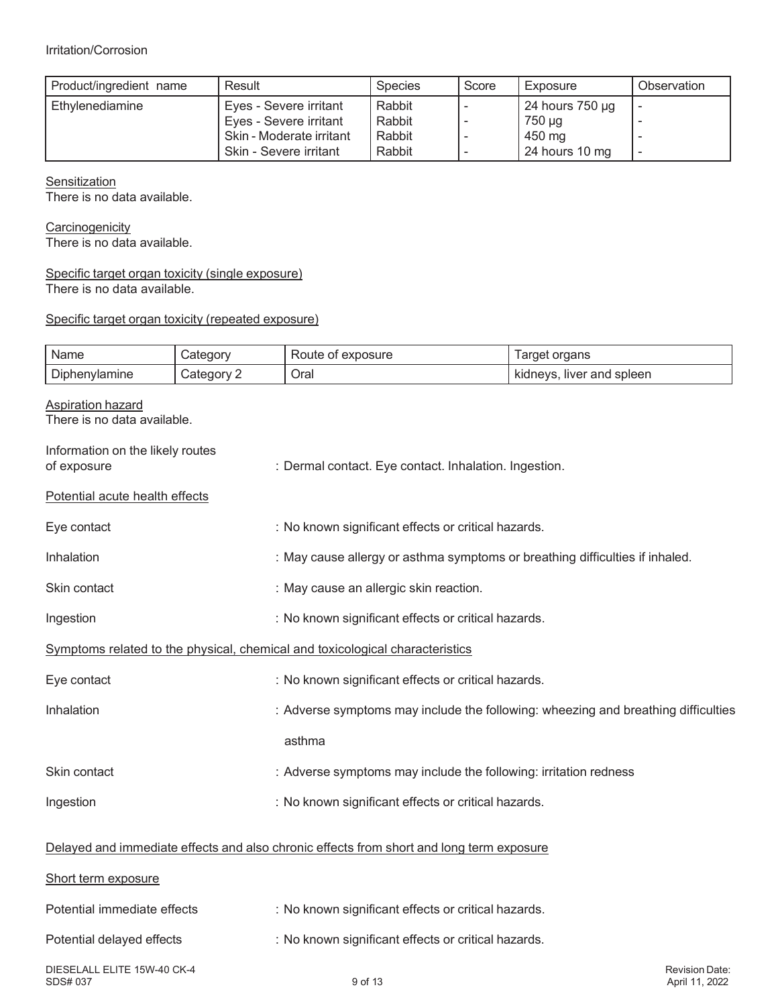| Product/ingredient name | Result                   | <b>Species</b> | Score | Exposure        | Observation |
|-------------------------|--------------------------|----------------|-------|-----------------|-------------|
| Ethylenediamine         | Eyes - Severe irritant   | Rabbit         |       | 24 hours 750 µg |             |
|                         | Eyes - Severe irritant   | Rabbit         |       | 750 µg          |             |
|                         | Skin - Moderate irritant | Rabbit         |       | 450 mg          |             |
|                         | Skin - Severe irritant   | Rabbit         |       | 24 hours 10 mg  |             |

Ŧ

**Sensitization** 

'n

There is no data available.

**Carcinogenicity** There is no data available.

#### Specific target organ toxicity (single exposure) There is no data available.

Ŧ

#### Specific target organ toxicity (repeated exposure)

| Name                                                    | Category   | Route of exposure                                                                        | Target organs             |                                  |
|---------------------------------------------------------|------------|------------------------------------------------------------------------------------------|---------------------------|----------------------------------|
| Diphenylamine                                           | Category 2 | Oral                                                                                     | kidneys, liver and spleen |                                  |
| <b>Aspiration hazard</b><br>There is no data available. |            |                                                                                          |                           |                                  |
| Information on the likely routes<br>of exposure         |            | : Dermal contact. Eye contact. Inhalation. Ingestion.                                    |                           |                                  |
| Potential acute health effects                          |            |                                                                                          |                           |                                  |
| Eye contact                                             |            | : No known significant effects or critical hazards.                                      |                           |                                  |
| Inhalation                                              |            | : May cause allergy or asthma symptoms or breathing difficulties if inhaled.             |                           |                                  |
| Skin contact                                            |            | : May cause an allergic skin reaction.                                                   |                           |                                  |
| Ingestion                                               |            | : No known significant effects or critical hazards.                                      |                           |                                  |
|                                                         |            | Symptoms related to the physical, chemical and toxicological characteristics             |                           |                                  |
| Eye contact                                             |            | : No known significant effects or critical hazards.                                      |                           |                                  |
| Inhalation                                              |            | : Adverse symptoms may include the following: wheezing and breathing difficulties        |                           |                                  |
|                                                         |            | asthma                                                                                   |                           |                                  |
| Skin contact                                            |            | : Adverse symptoms may include the following: irritation redness                         |                           |                                  |
| Ingestion                                               |            | : No known significant effects or critical hazards.                                      |                           |                                  |
|                                                         |            | Delayed and immediate effects and also chronic effects from short and long term exposure |                           |                                  |
| Short term exposure                                     |            |                                                                                          |                           |                                  |
| Potential immediate effects                             |            | : No known significant effects or critical hazards.                                      |                           |                                  |
| Potential delayed effects                               |            | : No known significant effects or critical hazards.                                      |                           |                                  |
| DIESELALL ELITE 15W-40 CK-4<br>SDS# 037                 |            | 9 of 13                                                                                  |                           | Revision Date:<br>April 11, 2022 |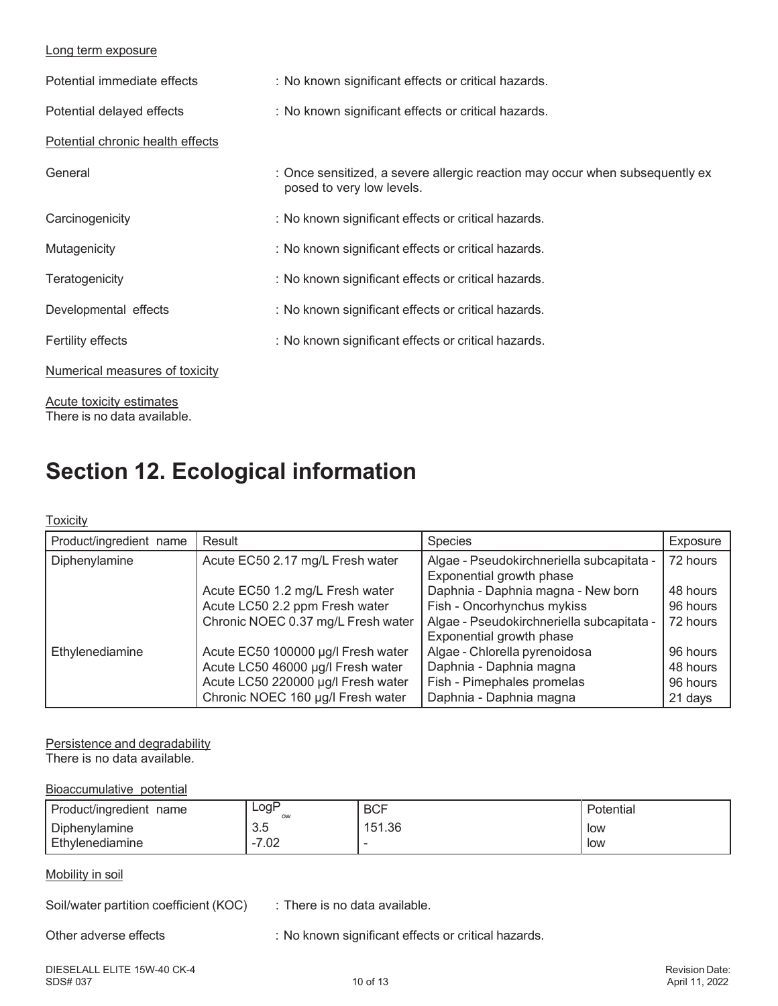#### Long term exposure

| Potential immediate effects      | : No known significant effects or critical hazards.                                                       |
|----------------------------------|-----------------------------------------------------------------------------------------------------------|
| Potential delayed effects        | : No known significant effects or critical hazards.                                                       |
| Potential chronic health effects |                                                                                                           |
| General                          | : Once sensitized, a severe allergic reaction may occur when subsequently ex<br>posed to very low levels. |
| Carcinogenicity                  | : No known significant effects or critical hazards.                                                       |
| Mutagenicity                     | : No known significant effects or critical hazards.                                                       |
| Teratogenicity                   | : No known significant effects or critical hazards.                                                       |
| Developmental effects            | : No known significant effects or critical hazards.                                                       |
| Fertility effects                | : No known significant effects or critical hazards.                                                       |
| Numerical measures of toxicity   |                                                                                                           |

Acute toxicity estimates There is no data available.

### **Section 12. Ecological information**

#### **Toxicity**

| Product/ingredient name | Result                             | <b>Species</b>                                                        | Exposure |
|-------------------------|------------------------------------|-----------------------------------------------------------------------|----------|
| Diphenylamine           | Acute EC50 2.17 mg/L Fresh water   | Algae - Pseudokirchneriella subcapitata -<br>Exponential growth phase | 72 hours |
|                         | Acute EC50 1.2 mg/L Fresh water    | Daphnia - Daphnia magna - New born                                    | 48 hours |
|                         | Acute LC50 2.2 ppm Fresh water     | Fish - Oncorhynchus mykiss                                            | 96 hours |
|                         | Chronic NOEC 0.37 mg/L Fresh water | Algae - Pseudokirchneriella subcapitata -                             | 72 hours |
|                         |                                    | Exponential growth phase                                              |          |
| Ethylenediamine         | Acute EC50 100000 µg/l Fresh water | Algae - Chlorella pyrenoidosa                                         | 96 hours |
|                         | Acute LC50 46000 µg/l Fresh water  | Daphnia - Daphnia magna                                               | 48 hours |
|                         | Acute LC50 220000 µg/l Fresh water | Fish - Pimephales promelas                                            | 96 hours |
|                         | Chronic NOEC 160 µg/l Fresh water  | Daphnia - Daphnia magna                                               | 21 days  |

Persistence and degradability

There is no data available.

Bioaccumulative potential

| Product/ingredient<br>name | ∟ogP<br>ow         | <b>BCF</b> | Potential |
|----------------------------|--------------------|------------|-----------|
| Diphenylamine              | $\sim$<br>ن.ن      | 151.36     | low       |
| Ethylenediamine            | $\sim$<br>-<br>.uz |            | low       |

#### Mobility in soil

Soil/water partition coefficient (KOC) : There is no data available.

Other adverse effects : No known significant effects or critical hazards.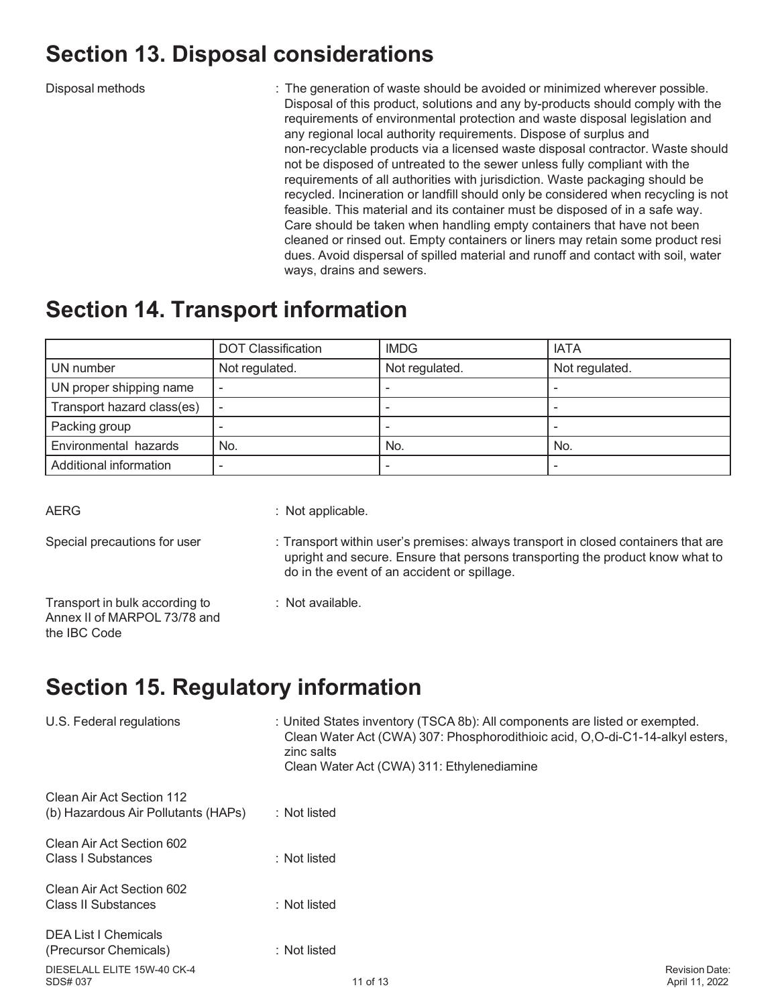### **Section 13. Disposal considerations**

Disposal methods **interpollar interpollar interpollar interpollar interpollar in The generation of waste should be avoided or minimized wherever possible.** Disposal of this product, solutions and any by-products should comply with the requirements of environmental protection and waste disposal legislation and any regional local authority requirements. Dispose of surplus and non-recyclable products via a licensed waste disposal contractor. Waste should not be disposed of untreated to the sewer unless fully compliant with the requirements of all authorities with jurisdiction. Waste packaging should be recycled. Incineration or landfill should only be considered when recycling is not feasible. This material and its container must be disposed of in a safe way. Care should be taken when handling empty containers that have not been cleaned or rinsed out. Empty containers or liners may retain some product resi dues. Avoid dispersal of spilled material and runoff and contact with soil, water ways, drains and sewers.

### **Section 14. Transport information**

|                            | <b>DOT Classification</b> | <b>IMDG</b>    | <b>IATA</b>    |
|----------------------------|---------------------------|----------------|----------------|
| UN number                  | Not regulated.            | Not regulated. | Not regulated. |
| UN proper shipping name    |                           |                |                |
| Transport hazard class(es) |                           |                |                |
| Packing group              |                           |                |                |
| Environmental hazards      | No.                       | No.            | No.            |
| Additional information     |                           |                |                |

AERG : Not applicable.

- Special precautions for user : Transport within user's premises: always transport in closed containers that are upright and secure. Ensure that persons transporting the product know what to do in the event of an accident or spillage.
- Transport in bulk according to : Not available. Annex II of MARPOL 73/78 and the IBC Code
- 

## **Section 15. Regulatory information**

| U.S. Federal regulations                                         | : United States inventory (TSCA 8b): All components are listed or exempted.<br>Clean Water Act (CWA) 307: Phosphorodithioic acid, O,O-di-C1-14-alkyl esters,<br>zinc salts<br>Clean Water Act (CWA) 311: Ethylenediamine |                                  |
|------------------------------------------------------------------|--------------------------------------------------------------------------------------------------------------------------------------------------------------------------------------------------------------------------|----------------------------------|
| Clean Air Act Section 112<br>(b) Hazardous Air Pollutants (HAPs) | : Not listed                                                                                                                                                                                                             |                                  |
| Clean Air Act Section 602<br><b>Class I Substances</b>           | : Not listed                                                                                                                                                                                                             |                                  |
| Clean Air Act Section 602<br>Class II Substances                 | : Not listed                                                                                                                                                                                                             |                                  |
| <b>DEA List I Chemicals</b><br>(Precursor Chemicals)             | $:$ Not listed                                                                                                                                                                                                           |                                  |
| DIESELALL ELITE 15W-40 CK-4<br>SDS# 037                          | 11 of 13                                                                                                                                                                                                                 | Revision Date:<br>April 11, 2022 |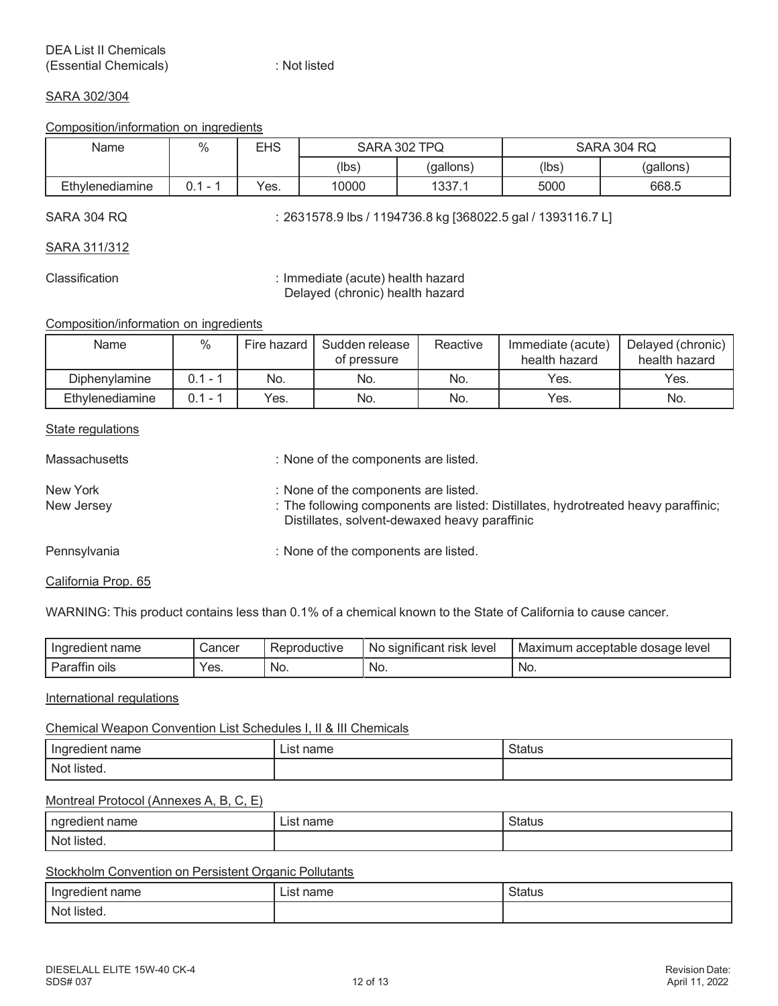#### SARA 302/304

#### Composition/information on ingredients

| Name            | $\%$ | EHS  | <b>SARA 302</b><br><b>TPQ</b> |           |                  | SARA 304 RQ |
|-----------------|------|------|-------------------------------|-----------|------------------|-------------|
|                 |      |      | (lbs)                         | (gallons) | $(\mathsf{lbs})$ | (gallons)   |
| Ethylenediamine | -    | Yes. | 10000                         | 1337.1    | 5000             | 668.5       |

SARA 304 RQ : 2631578.9 lbs / 1194736.8 kg [368022.5 gal / 1393116.7 L]

SARA 311/312

Classification : Immediate (acute) health hazard Delayed (chronic) health hazard

Composition/information on ingredients

| Name            | %   | Fire hazard | Sudden release<br>of pressure | Reactive | Immediate (acute)<br>health hazard | Delayed (chronic)<br>health hazard |
|-----------------|-----|-------------|-------------------------------|----------|------------------------------------|------------------------------------|
| Diphenylamine   | 0.1 | No.         | No.                           | No.      | Yes.                               | Yes.                               |
| Ethylenediamine | 0.1 | Yes.        | No.                           | No.      | Yes.                               | No.                                |

#### **State regulations**

| Massachusetts          | : None of the components are listed.                                                                                                                                        |
|------------------------|-----------------------------------------------------------------------------------------------------------------------------------------------------------------------------|
| New York<br>New Jersey | : None of the components are listed.<br>: The following components are listed: Distillates, hydrotreated heavy paraffinic;<br>Distillates, solvent-dewaxed heavy paraffinic |
| Pennsylvania           | : None of the components are listed.                                                                                                                                        |

#### California Prop. 65

WARNING: This product contains less than 0.1% of a chemical known to the State of California to cause cancer.

| name<br>Indred<br>redient<br> | شancer | ⊀eproductive | $\cdot$ $\cdot$<br>rısk<br>level<br>significant<br><b>NO</b> | i acceptable dosage level<br>Maximum |
|-------------------------------|--------|--------------|--------------------------------------------------------------|--------------------------------------|
| <br>oils<br>arai              | Yes.   | No.          | No.                                                          | No.                                  |

#### International regulations

#### Chemical Weapon Convention List Schedules I, II & III Chemicals

| 1000000<br>name<br>ше | name<br>IC. | <b>Status</b> |
|-----------------------|-------------|---------------|
| Not listed.           |             |               |

#### Montreal Protocol (Annexes A, B, C, E)

| naredien<br>name    | nome<br>∟lS†<br>i idi i ie | วเสเนะ |
|---------------------|----------------------------|--------|
| $\sqrt{2}$<br>- NC′ |                            |        |

#### Stockholm Convention on Persistent Organic Pollutants

| name        | name | Status |
|-------------|------|--------|
| Indredient  | ∟lSf |        |
| Not listed. |      |        |